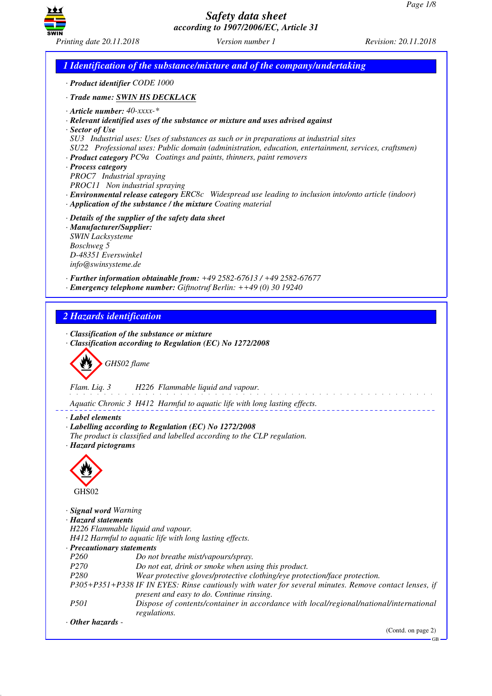

*1 Identification of the substance/mixture and of the company/undertaking · Product identifier CODE 1000 · Trade name: SWIN HS DECKLACK · Article number: 40-xxxx-\* · Relevant identified uses of the substance or mixture and uses advised against · Sector of Use SU3 Industrial uses: Uses of substances as such or in preparations at industrial sites SU22 Professional uses: Public domain (administration, education, entertainment, services, craftsmen) · Product category PC9a Coatings and paints, thinners, paint removers · Process category PROC7 Industrial spraying PROC11 Non industrial spraying · Environmental release category ERC8c Widespread use leading to inclusion into/onto article (indoor) · Application of the substance / the mixture Coating material · Details of the supplier of the safety data sheet · Manufacturer/Supplier: SWIN Lacksysteme Boschweg 5 D-48351 Everswinkel info@swinsysteme.de · Further information obtainable from: +49 2582-67613 / +49 2582-67677 · Emergency telephone number: Giftnotruf Berlin: ++49 (0) 30 19240 2 Hazards identification · Classification of the substance or mixture · Classification according to Regulation (EC) No 1272/2008* d~*GHS02 flame Flam. Liq. 3 H226 Flammable liquid and vapour.* <u>.</u> . . . . . . . . . . . . . . *Aquatic Chronic 3 H412 Harmful to aquatic life with long lasting effects. · Label elements · Labelling according to Regulation (EC) No 1272/2008 The product is classified and labelled according to the CLP regulation. · Hazard pictograms* < GHS<sub>02</sub> *· Signal word Warning · Hazard statements H226 Flammable liquid and vapour. H412 Harmful to aquatic life with long lasting effects. · Precautionary statements P260 Do not breathe mist/vapours/spray. P270 Do not eat, drink or smoke when using this product. P280 Wear protective gloves/protective clothing/eye protection/face protection. P305+P351+P338 IF IN EYES: Rinse cautiously with water for several minutes. Remove contact lenses, if present and easy to do. Continue rinsing. P501 Dispose of contents/container in accordance with local/regional/national/international regulations. · Other hazards -*  (Contd. on page 2)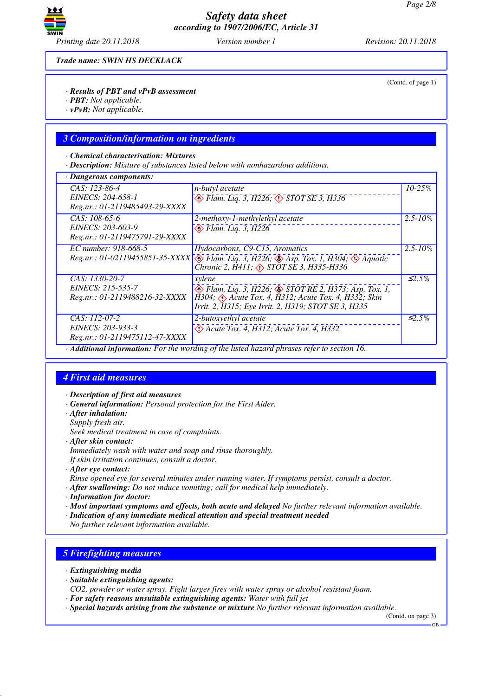

(Contd. of page 1)

*Trade name: SWIN HS DECKLACK*

### *· Results of PBT and vPvB assessment*

- *· PBT: Not applicable.*
- *· vPvB: Not applicable.*

### *3 Composition/information on ingredients*

#### *· Chemical characterisation: Mixtures*

*· Description: Mixture of substances listed below with nonhazardous additions.*

| · Dangerous components:                                               |                                                                                                                                                                                                         |              |
|-----------------------------------------------------------------------|---------------------------------------------------------------------------------------------------------------------------------------------------------------------------------------------------------|--------------|
| CAS: 123-86-4<br>EINECS: 204-658-1<br>Reg.nr.: 01-2119485493-29-XXXX  | n-butyl acetate<br>$\circledast$ Flam. Liq. 3, H226; $\circledast$ STOT SE 3, H336                                                                                                                      | $10 - 25\%$  |
| CAS: 108-65-6<br>EINECS: 203-603-9<br>Reg.nr.: 01-2119475791-29-XXXX  | 2-methoxy-1-methylethyl acetate<br>$\otimes$ Flam. Liq. 3, H226                                                                                                                                         | $2.5 - 10\%$ |
| EC number: 918-668-5                                                  | Hydocarbons, C9-C15, Aromatics<br>Reg.nr.: 01-02119455851-35-XXXX \ Flam. Liq. 3, H226; Asp. Tox. 1, H304; A Aquatic<br>Chronic 2, H411; <> STOT SE 3, H335-H336                                        | $2.5 - 10\%$ |
| CAS: 1330-20-7<br>EINECS: 215-535-7<br>Reg.nr.: 01-2119488216-32-XXXX | xylene<br>$\otimes$ Flam. Liq. 3, H226; $\otimes$ STOT RE 2, H373; Asp. Tox. 1,<br>H304; $\Diamond$ Acute Tox. 4, H312; Acute Tox. 4, H332; Skin<br>Irrit. 2, H315; Eye Irrit. 2, H319; STOT SE 3, H335 | $\leq 2.5\%$ |
| CAS: 112-07-2<br>EINECS: 203-933-3<br>Reg.nr.: 01-2119475112-47-XXXX  | 2-butoxyethyl acetate<br>$\Diamond$ Acute Tox. 4, H312; Acute Tox. 4, H332                                                                                                                              | $\leq 2.5\%$ |
|                                                                       | Additional information: For the wording of the listed hazard phrases refer to section 16.                                                                                                               |              |

## *4 First aid measures*

- *· Description of first aid measures*
- *· General information: Personal protection for the First Aider.*
- *· After inhalation:*
- *Supply fresh air.*
- *Seek medical treatment in case of complaints.*
- *· After skin contact:*
- *Immediately wash with water and soap and rinse thoroughly.*

*If skin irritation continues, consult a doctor.*

*· After eye contact:*

*Rinse opened eye for several minutes under running water. If symptoms persist, consult a doctor.*

- *· After swallowing: Do not induce vomiting; call for medical help immediately.*
- *· Information for doctor:*

*· Most important symptoms and effects, both acute and delayed No further relevant information available.*

*· Indication of any immediate medical attention and special treatment needed*

*No further relevant information available.*

# *5 Firefighting measures*

- *· Extinguishing media*
- *· Suitable extinguishing agents:*
- *CO2, powder or water spray. Fight larger fires with water spray or alcohol resistant foam.*
- *· For safety reasons unsuitable extinguishing agents: Water with full jet*
- *· Special hazards arising from the substance or mixture No further relevant information available.*

(Contd. on page 3)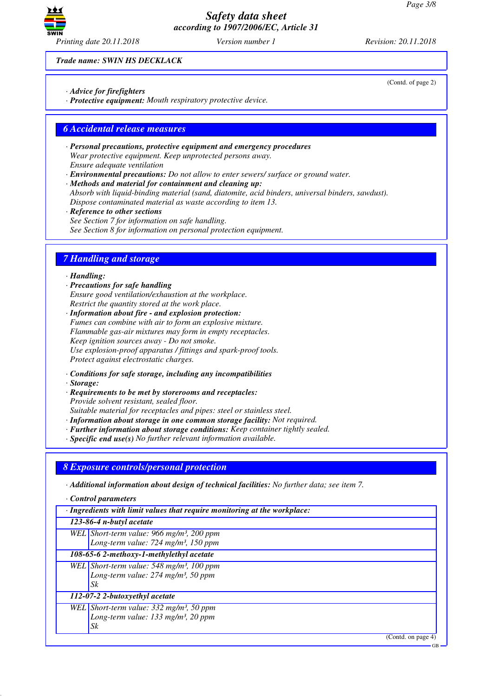

*Trade name: SWIN HS DECKLACK*

- *· Advice for firefighters*
- *· Protective equipment: Mouth respiratory protective device.*

## *6 Accidental release measures*

- *· Personal precautions, protective equipment and emergency procedures Wear protective equipment. Keep unprotected persons away. Ensure adequate ventilation*
- *· Environmental precautions: Do not allow to enter sewers/ surface or ground water.*

*· Methods and material for containment and cleaning up: Absorb with liquid-binding material (sand, diatomite, acid binders, universal binders, sawdust). Dispose contaminated material as waste according to item 13.*

*· Reference to other sections See Section 7 for information on safe handling. See Section 8 for information on personal protection equipment.*

# *7 Handling and storage*

### *· Handling:*

*· Precautions for safe handling Ensure good ventilation/exhaustion at the workplace. Restrict the quantity stored at the work place.*

*· Information about fire - and explosion protection: Fumes can combine with air to form an explosive mixture. Flammable gas-air mixtures may form in empty receptacles. Keep ignition sources away - Do not smoke. Use explosion-proof apparatus / fittings and spark-proof tools. Protect against electrostatic charges.*

- *· Conditions for safe storage, including any incompatibilities*
- *· Storage:*
- *· Requirements to be met by storerooms and receptacles: Provide solvent resistant, sealed floor. Suitable material for receptacles and pipes: steel or stainless steel.*
- *· Information about storage in one common storage facility: Not required.*
- *· Further information about storage conditions: Keep container tightly sealed.*
- *· Specific end use(s) No further relevant information available.*

## *8 Exposure controls/personal protection*

*· Additional information about design of technical facilities: No further data; see item 7.*

*· Control parameters*

| $\cdot$ Ingredients with limit values that require monitoring at the workplace: |                                                        |
|---------------------------------------------------------------------------------|--------------------------------------------------------|
|                                                                                 | 123-86-4 n-butyl acetate                               |
|                                                                                 | WEL Short-term value: 966 mg/m <sup>3</sup> , 200 ppm  |
|                                                                                 | Long-term value: 724 mg/m <sup>3</sup> , 150 ppm       |
|                                                                                 | 108-65-6 2-methoxy-1-methylethyl acetate               |
|                                                                                 | WEL Short-term value: 548 mg/m <sup>3</sup> , 100 ppm  |
|                                                                                 | Long-term value: $274$ mg/m <sup>3</sup> , 50 ppm      |
|                                                                                 | Sk                                                     |
|                                                                                 | 112-07-2 2-butoxyethyl acetate                         |
|                                                                                 | WEL Short-term value: $332$ mg/m <sup>3</sup> , 50 ppm |
|                                                                                 | Long-term value: $133$ mg/m <sup>3</sup> , 20 ppm      |
|                                                                                 | Sk                                                     |

(Contd. on page 4)

GB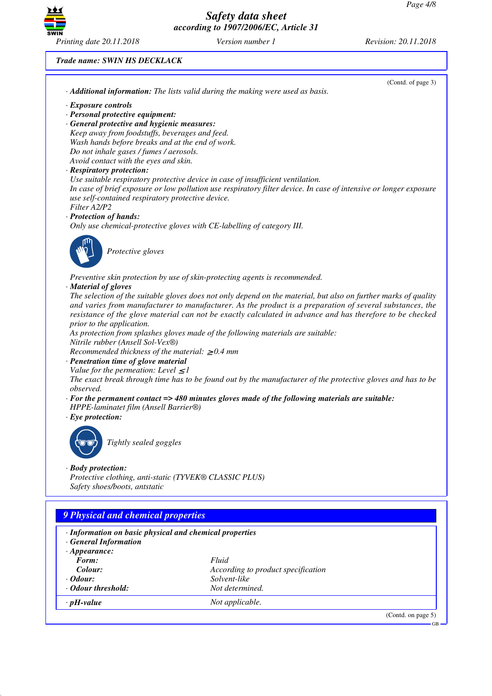

*Trade name: SWIN HS DECKLACK*

|                                                         | (Contd. of page 3)                                                                                                |
|---------------------------------------------------------|-------------------------------------------------------------------------------------------------------------------|
|                                                         | · Additional information: The lists valid during the making were used as basis.                                   |
| · Exposure controls                                     |                                                                                                                   |
| · Personal protective equipment:                        |                                                                                                                   |
| · General protective and hygienic measures:             |                                                                                                                   |
| Keep away from foodstuffs, beverages and feed.          |                                                                                                                   |
| Wash hands before breaks and at the end of work.        |                                                                                                                   |
| Do not inhale gases / fumes / aerosols.                 |                                                                                                                   |
| Avoid contact with the eyes and skin.                   |                                                                                                                   |
| · Respiratory protection:                               | Use suitable respiratory protective device in case of insufficient ventilation.                                   |
|                                                         | In case of brief exposure or low pollution use respiratory filter device. In case of intensive or longer exposure |
| use self-contained respiratory protective device.       |                                                                                                                   |
| Filter A2/P2                                            |                                                                                                                   |
| · Protection of hands:                                  |                                                                                                                   |
|                                                         | Only use chemical-protective gloves with CE-labelling of category III.                                            |
|                                                         |                                                                                                                   |
| Protective gloves                                       |                                                                                                                   |
|                                                         |                                                                                                                   |
|                                                         | Preventive skin protection by use of skin-protecting agents is recommended.                                       |
| · Material of gloves                                    |                                                                                                                   |
|                                                         | The selection of the suitable gloves does not only depend on the material, but also on further marks of quality   |
|                                                         | and varies from manufacturer to manufacturer. As the product is a preparation of several substances, the          |
|                                                         | resistance of the glove material can not be exactly calculated in advance and has therefore to be checked         |
| prior to the application.                               |                                                                                                                   |
|                                                         | As protection from splashes gloves made of the following materials are suitable:                                  |
| Nitrile rubber (Ansell Sol-Vex®)                        |                                                                                                                   |
| Recommended thickness of the material: $\geq 0.4$ mm    |                                                                                                                   |
| · Penetration time of glove material                    |                                                                                                                   |
| Value for the permeation: Level $\leq$ 1                |                                                                                                                   |
|                                                         | The exact break through time has to be found out by the manufacturer of the protective gloves and has to be       |
| observed.                                               | $\cdot$ For the permanent contact => 480 minutes gloves made of the following materials are suitable:             |
| HPPE-laminatet film (Ansell Barrier®)                   |                                                                                                                   |
| $\cdot$ Eye protection:                                 |                                                                                                                   |
|                                                         |                                                                                                                   |
|                                                         |                                                                                                                   |
| Tightly sealed goggles                                  |                                                                                                                   |
|                                                         |                                                                                                                   |
| $\cdot$ Body protection:                                |                                                                                                                   |
| Protective clothing, anti-static (TYVEK® CLASSIC PLUS)  |                                                                                                                   |
| Safety shoes/boots, antstatic                           |                                                                                                                   |
|                                                         |                                                                                                                   |
| <b>9 Physical and chemical properties</b>               |                                                                                                                   |
|                                                         |                                                                                                                   |
| · Information on basic physical and chemical properties |                                                                                                                   |
| · General Information<br>$\cdot$ Appearance:            |                                                                                                                   |
| Form:                                                   | Fluid                                                                                                             |
| Colour:                                                 | According to product specification                                                                                |
| $\cdot$ Odour:                                          | Solvent-like                                                                                                      |
| · Odour threshold:                                      | Not determined.                                                                                                   |
|                                                         |                                                                                                                   |
| $\cdot$ pH-value                                        | Not applicable.                                                                                                   |
|                                                         | (Contd. on page 5)                                                                                                |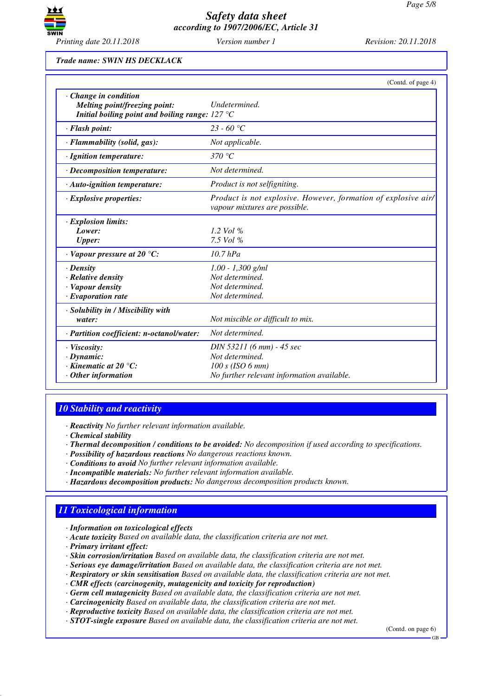

*Trade name: SWIN HS DECKLACK*

|                                                                                                                          | (Contd. of page 4)                                                                                             |
|--------------------------------------------------------------------------------------------------------------------------|----------------------------------------------------------------------------------------------------------------|
| $\cdot$ Change in condition<br>Melting point/freezing point:<br>Initial boiling point and boiling range: $127^{\circ}$ C | Undetermined.                                                                                                  |
| · Flash point:                                                                                                           | $23 - 60$ °C                                                                                                   |
| · Flammability (solid, gas):                                                                                             | Not applicable.                                                                                                |
| · Ignition temperature:                                                                                                  | 370 °C                                                                                                         |
| · Decomposition temperature:                                                                                             | Not determined.                                                                                                |
| · Auto-ignition temperature:                                                                                             | Product is not selfigniting.                                                                                   |
| $\cdot$ Explosive properties:                                                                                            | Product is not explosive. However, formation of explosive air/<br>vapour mixtures are possible.                |
| · Explosion limits:<br>Lower:<br><b>Upper:</b>                                                                           | 1.2 Vol $%$<br>7.5 Vol %                                                                                       |
| $\cdot$ Vapour pressure at 20 °C:                                                                                        | $10.7$ hPa                                                                                                     |
| $\cdot$ Density<br>· Relative density<br>· Vapour density<br>$\cdot$ Evaporation rate                                    | $1.00 - 1,300$ g/ml<br>Not determined.<br>Not determined.<br>Not determined.                                   |
| · Solubility in / Miscibility with<br>water:                                                                             | Not miscible or difficult to mix.                                                                              |
| · Partition coefficient: n-octanol/water:                                                                                | Not determined.                                                                                                |
| $\cdot$ Viscosity:<br>$\cdot$ Dynamic:<br>$\cdot$ Kinematic at 20 $\degree$ C:<br>$\cdot$ Other information              | DIN 53211 (6 mm) - 45 sec<br>Not determined.<br>100 s (ISO 6 mm)<br>No further relevant information available. |

## *10 Stability and reactivity*

*· Reactivity No further relevant information available.*

*· Chemical stability*

- *· Thermal decomposition / conditions to be avoided: No decomposition if used according to specifications.*
- *· Possibility of hazardous reactions No dangerous reactions known.*
- *· Conditions to avoid No further relevant information available.*
- *· Incompatible materials: No further relevant information available.*
- *· Hazardous decomposition products: No dangerous decomposition products known.*

# *11 Toxicological information*

- *· Information on toxicological effects*
- *· Acute toxicity Based on available data, the classification criteria are not met.*
- *· Primary irritant effect:*
- *· Skin corrosion/irritation Based on available data, the classification criteria are not met.*
- *· Serious eye damage/irritation Based on available data, the classification criteria are not met.*
- *· Respiratory or skin sensitisation Based on available data, the classification criteria are not met.*
- *· CMR effects (carcinogenity, mutagenicity and toxicity for reproduction)*
- *· Germ cell mutagenicity Based on available data, the classification criteria are not met.*
- *· Carcinogenicity Based on available data, the classification criteria are not met.*
- *· Reproductive toxicity Based on available data, the classification criteria are not met.*
- *· STOT-single exposure Based on available data, the classification criteria are not met.*

(Contd. on page 6) GB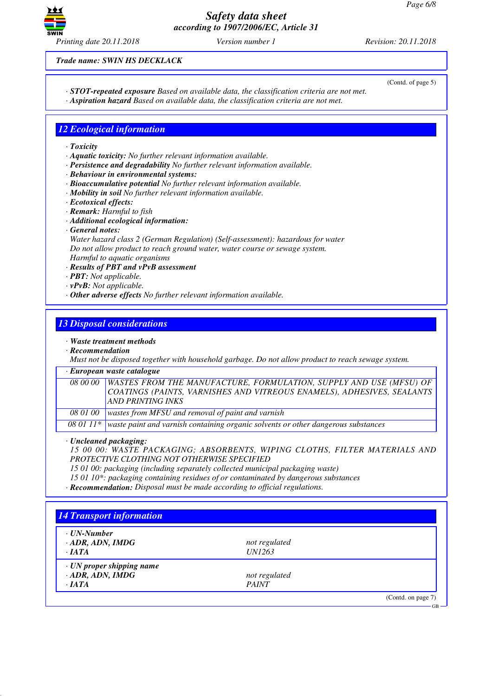

*Trade name: SWIN HS DECKLACK*

(Contd. of page 5)

- *· STOT-repeated exposure Based on available data, the classification criteria are not met.*
- *· Aspiration hazard Based on available data, the classification criteria are not met.*

## *12 Ecological information*

- *· Toxicity*
- *· Aquatic toxicity: No further relevant information available.*
- *· Persistence and degradability No further relevant information available.*
- *· Behaviour in environmental systems:*
- *· Bioaccumulative potential No further relevant information available.*
- *· Mobility in soil No further relevant information available.*
- *· Ecotoxical effects:*
- *· Remark: Harmful to fish*
- *· Additional ecological information:*
- *· General notes:*

*Water hazard class 2 (German Regulation) (Self-assessment): hazardous for water Do not allow product to reach ground water, water course or sewage system. Harmful to aquatic organisms*

- *· Results of PBT and vPvB assessment*
- *· PBT: Not applicable.*
- *· vPvB: Not applicable.*
- *· Other adverse effects No further relevant information available.*

## *13 Disposal considerations*

### *· Waste treatment methods*

*· Recommendation*

*Must not be disposed together with household garbage. Do not allow product to reach sewage system.*

### *· European waste catalogue*

| 08 00 00   WASTES FROM THE MANUFACTURE, FORMULATION, SUPPLY AND USE (MFSU) OF |
|-------------------------------------------------------------------------------|
| COATINGS (PAINTS, VARNISHES AND VITREOUS ENAMELS), ADHESIVES, SEALANTS        |
| AND PRINTING INKS                                                             |
| 08 01 00   wastes from MFSU and removal of paint and varnish                  |

*08 01 11\* waste paint and varnish containing organic solvents or other dangerous substances*

*· Uncleaned packaging:*

*15 00 00: WASTE PACKAGING; ABSORBENTS, WIPING CLOTHS, FILTER MATERIALS AND PROTECTIVE CLOTHING NOT OTHERWISE SPECIFIED*

*15 01 00: packaging (including separately collected municipal packaging waste)*

*15 01 10\*: packaging containing residues of or contaminated by dangerous substances*

*· Recommendation: Disposal must be made according to official regulations.*

| $\cdot$ UN-Number         |               |  |
|---------------------------|---------------|--|
| $\cdot$ ADR, ADN, IMDG    | not regulated |  |
| $\cdot$ JATA              | <i>UN1263</i> |  |
| · UN proper shipping name |               |  |
| $\cdot$ ADR, ADN, IMDG    | not regulated |  |
| $\cdot$ <i>IATA</i>       | <b>PAINT</b>  |  |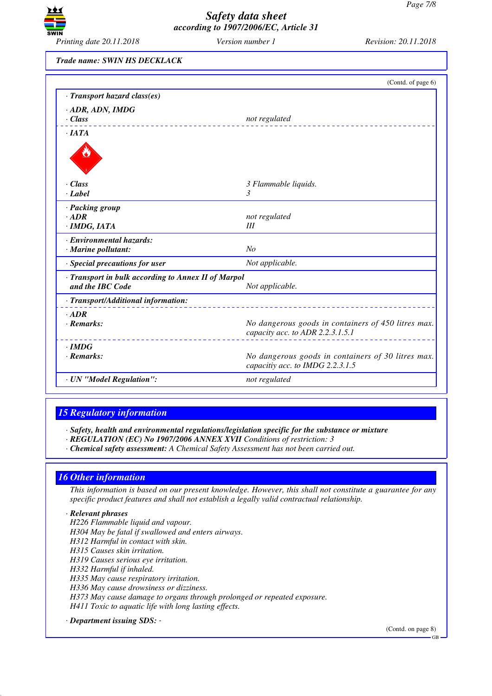

*Trade name: SWIN HS DECKLACK*

|                                                                         | (Contd. of page 6)                                                                      |  |
|-------------------------------------------------------------------------|-----------------------------------------------------------------------------------------|--|
| · Transport hazard class(es)                                            |                                                                                         |  |
| · ADR, ADN, IMDG                                                        |                                                                                         |  |
| $\cdot$ Class                                                           | not regulated                                                                           |  |
| $\cdot$ IATA                                                            |                                                                                         |  |
|                                                                         |                                                                                         |  |
| $\cdot$ Class                                                           | 3 Flammable liquids.                                                                    |  |
| $\cdot$ <i>Label</i>                                                    | 3                                                                                       |  |
| · Packing group                                                         |                                                                                         |  |
| $\cdot$ ADR                                                             | not regulated                                                                           |  |
| · IMDG, IATA                                                            | Ш                                                                                       |  |
| · Environmental hazards:                                                |                                                                                         |  |
| · Marine pollutant:                                                     | N <sub>o</sub>                                                                          |  |
| · Special precautions for user                                          | Not applicable.                                                                         |  |
| · Transport in bulk according to Annex II of Marpol<br>and the IBC Code | Not applicable.                                                                         |  |
| · Transport/Additional information:                                     |                                                                                         |  |
| $-ADR$                                                                  |                                                                                         |  |
| $\cdot$ Remarks:                                                        | No dangerous goods in containers of 450 litres max.<br>capacity acc. to ADR 2.2.3.1.5.1 |  |
| $\cdot$ IMDG                                                            |                                                                                         |  |
| $\cdot$ Remarks:                                                        | No dangerous goods in containers of 30 litres max.<br>capacitiy acc. to IMDG 2.2.3.1.5  |  |
| · UN "Model Regulation":                                                | not regulated                                                                           |  |

## *15 Regulatory information*

*· Safety, health and environmental regulations/legislation specific for the substance or mixture*

- *· REGULATION (EC) No 1907/2006 ANNEX XVII Conditions of restriction: 3*
- *· Chemical safety assessment: A Chemical Safety Assessment has not been carried out.*

## *16 Other information*

*This information is based on our present knowledge. However, this shall not constitute a guarantee for any specific product features and shall not establish a legally valid contractual relationship.*

### *· Relevant phrases*

- *H226 Flammable liquid and vapour.*
- *H304 May be fatal if swallowed and enters airways.*
- *H312 Harmful in contact with skin.*
- *H315 Causes skin irritation.*
- *H319 Causes serious eye irritation.*
- *H332 Harmful if inhaled.*
- *H335 May cause respiratory irritation.*
- *H336 May cause drowsiness or dizziness.*
- *H373 May cause damage to organs through prolonged or repeated exposure.*
- *H411 Toxic to aquatic life with long lasting effects.*
- *· Department issuing SDS:*

(Contd. on page 8)